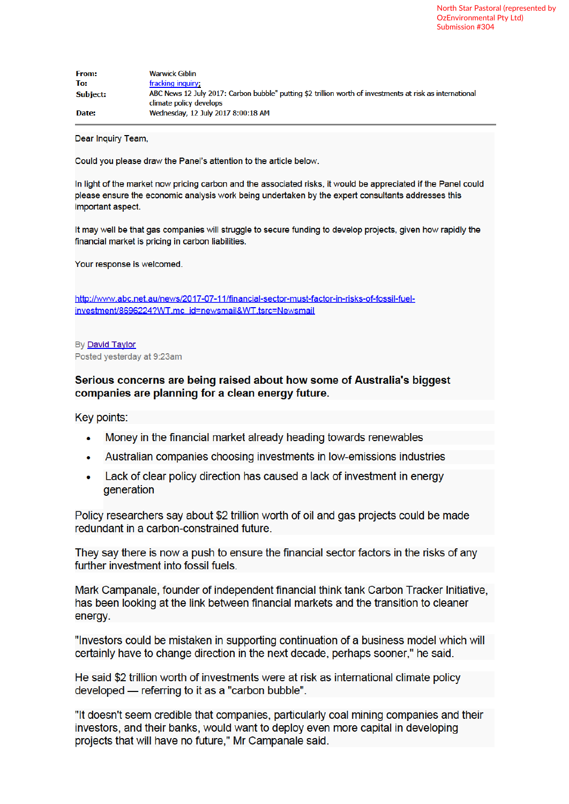| <b>From:</b>    | <b>Warwick Giblin</b>                                                                                                               |
|-----------------|-------------------------------------------------------------------------------------------------------------------------------------|
| To:             | fracking inquiry;                                                                                                                   |
| <b>Subject:</b> | ABC News 12 July 2017: Carbon bubble" putting \$2 trillion worth of investments at risk as international<br>climate policy develops |
| Date:           | Wednesday, 12 July 2017 8:00:18 AM                                                                                                  |

Dear Inquiry Team,

Could you please draw the Panel's attention to the article below.

In light of the market now pricing carbon and the associated risks, it would be appreciated if the Panel could please ensure the economic analysis work being undertaken by the expert consultants addresses this important aspect.

It may well be that gas companies will struggle to secure funding to develop projects, given how rapidly the financial market is pricing in carbon liabilities.

Your response is welcomed.

http://www.abc.net.au/news/2017-07-11/financial-sector-must-factor-in-risks-of-fossil-fuelinvestment/8696224?WT.mc\_id=newsmail&WT.tsrc=Newsmail

By David Taylor Posted yesterday at 9:23am

## Serious concerns are being raised about how some of Australia's biggest companies are planning for a clean energy future.

Key points:

- Money in the financial market already heading towards renewables  $\bullet$
- Australian companies choosing investments in low-emissions industries  $\bullet$
- Lack of clear policy direction has caused a lack of investment in energy  $\bullet$ generation

Policy researchers say about \$2 trillion worth of oil and gas projects could be made redundant in a carbon-constrained future.

They say there is now a push to ensure the financial sector factors in the risks of any further investment into fossil fuels.

Mark Campanale, founder of independent financial think tank Carbon Tracker Initiative, has been looking at the link between financial markets and the transition to cleaner energy.

"Investors could be mistaken in supporting continuation of a business model which will certainly have to change direction in the next decade, perhaps sooner," he said.

He said \$2 trillion worth of investments were at risk as international climate policy developed — referring to it as a "carbon bubble".

"It doesn't seem credible that companies, particularly coal mining companies and their investors, and their banks, would want to deploy even more capital in developing projects that will have no future," Mr Campanale said.